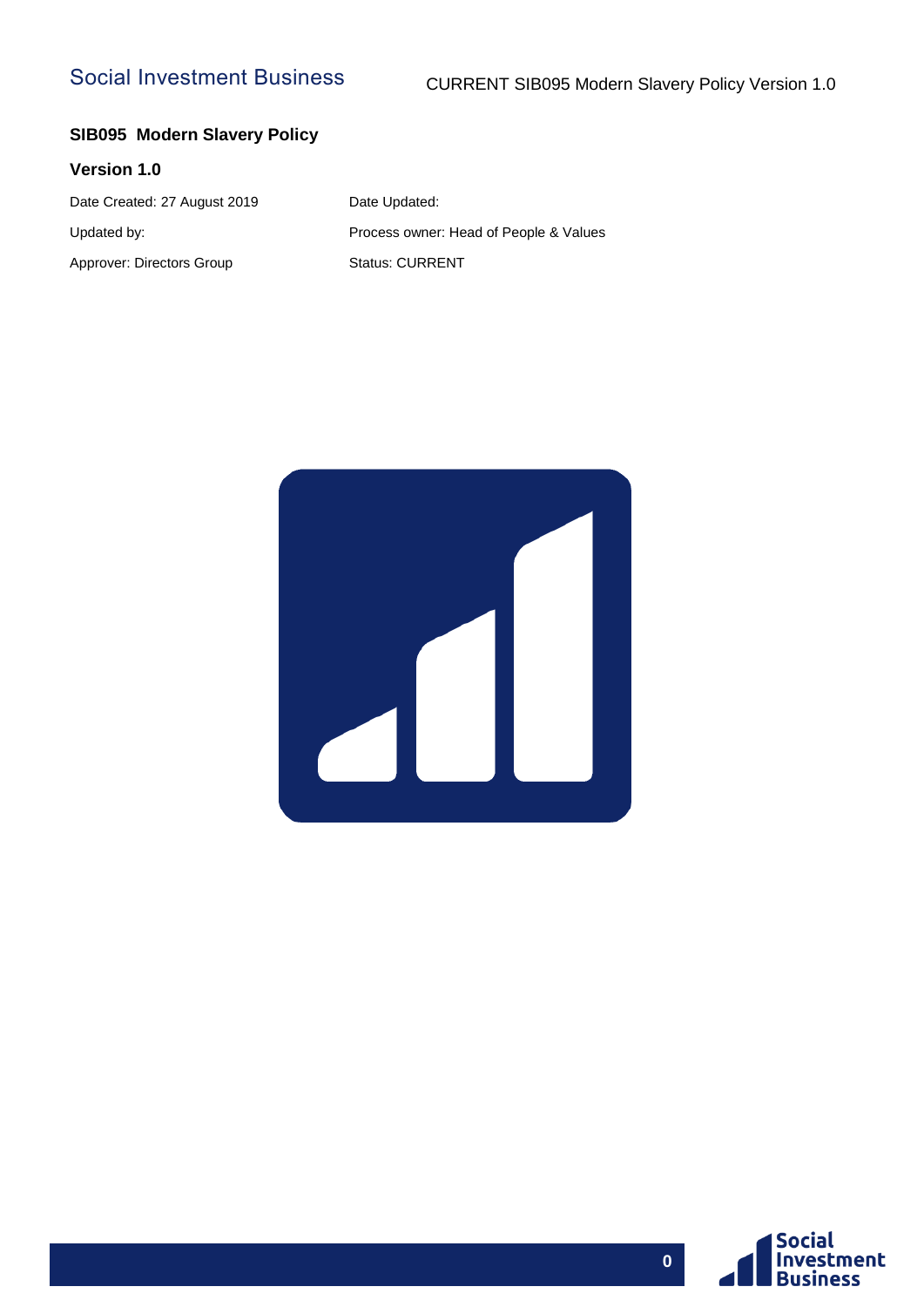## Social Investment Business

### **SIB095 Modern Slavery Policy**

#### **Version 1.0**

Date Created: 27 August 2019 Date Updated: Updated by: Process owner: Head of People & Values Approver: Directors Group Status: CURRENT



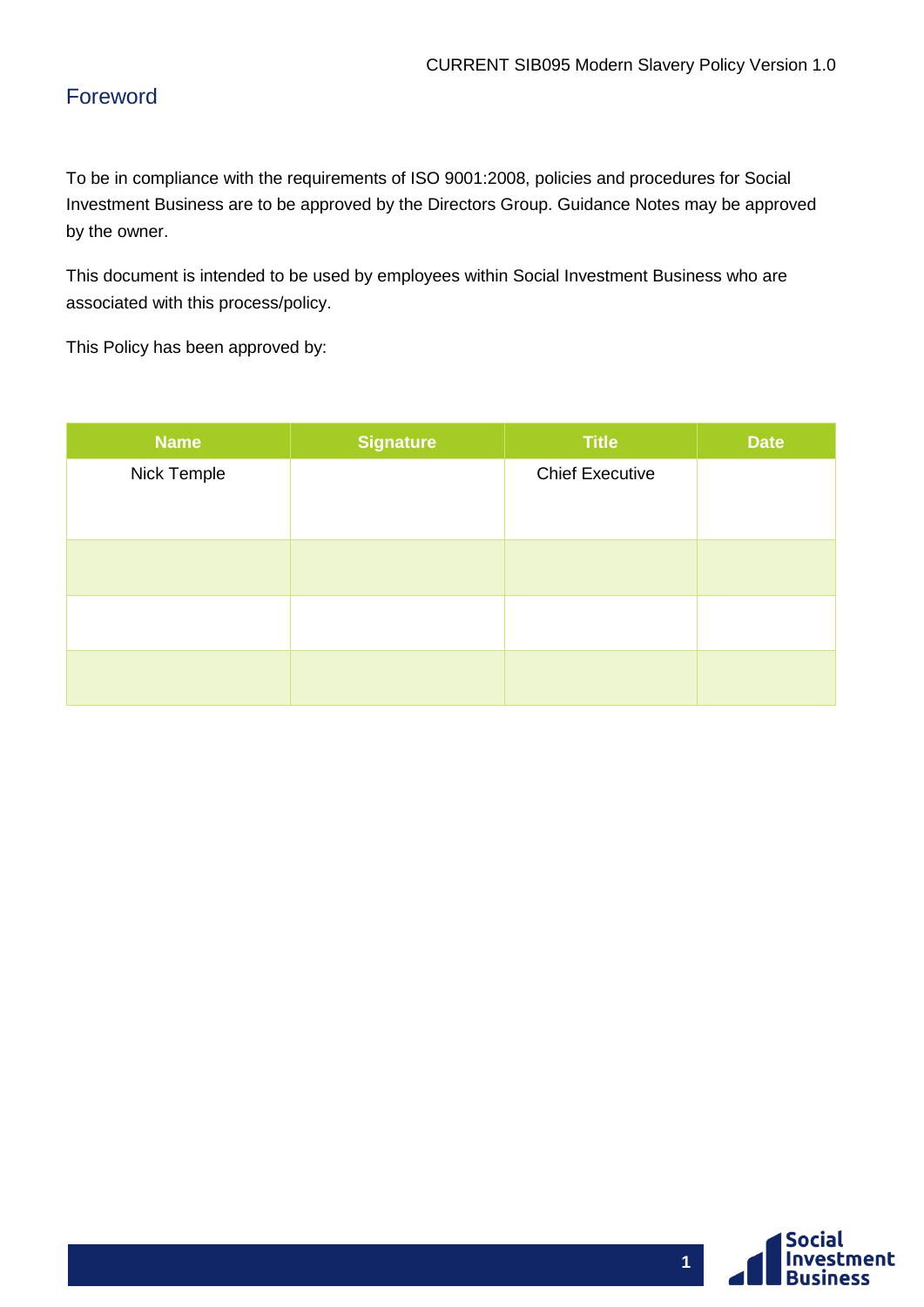## <span id="page-1-0"></span>Foreword

To be in compliance with the requirements of ISO 9001:2008, policies and procedures for Social Investment Business are to be approved by the Directors Group. Guidance Notes may be approved by the owner.

This document is intended to be used by employees within Social Investment Business who are associated with this process/policy.

This Policy has been approved by:

| <b>Name</b> | <b>Signature</b> | <b>Title</b>           | <b>Date</b> |
|-------------|------------------|------------------------|-------------|
| Nick Temple |                  | <b>Chief Executive</b> |             |
|             |                  |                        |             |
|             |                  |                        |             |
|             |                  |                        |             |
|             |                  |                        |             |
|             |                  |                        |             |
|             |                  |                        |             |
|             |                  |                        |             |
|             |                  |                        |             |

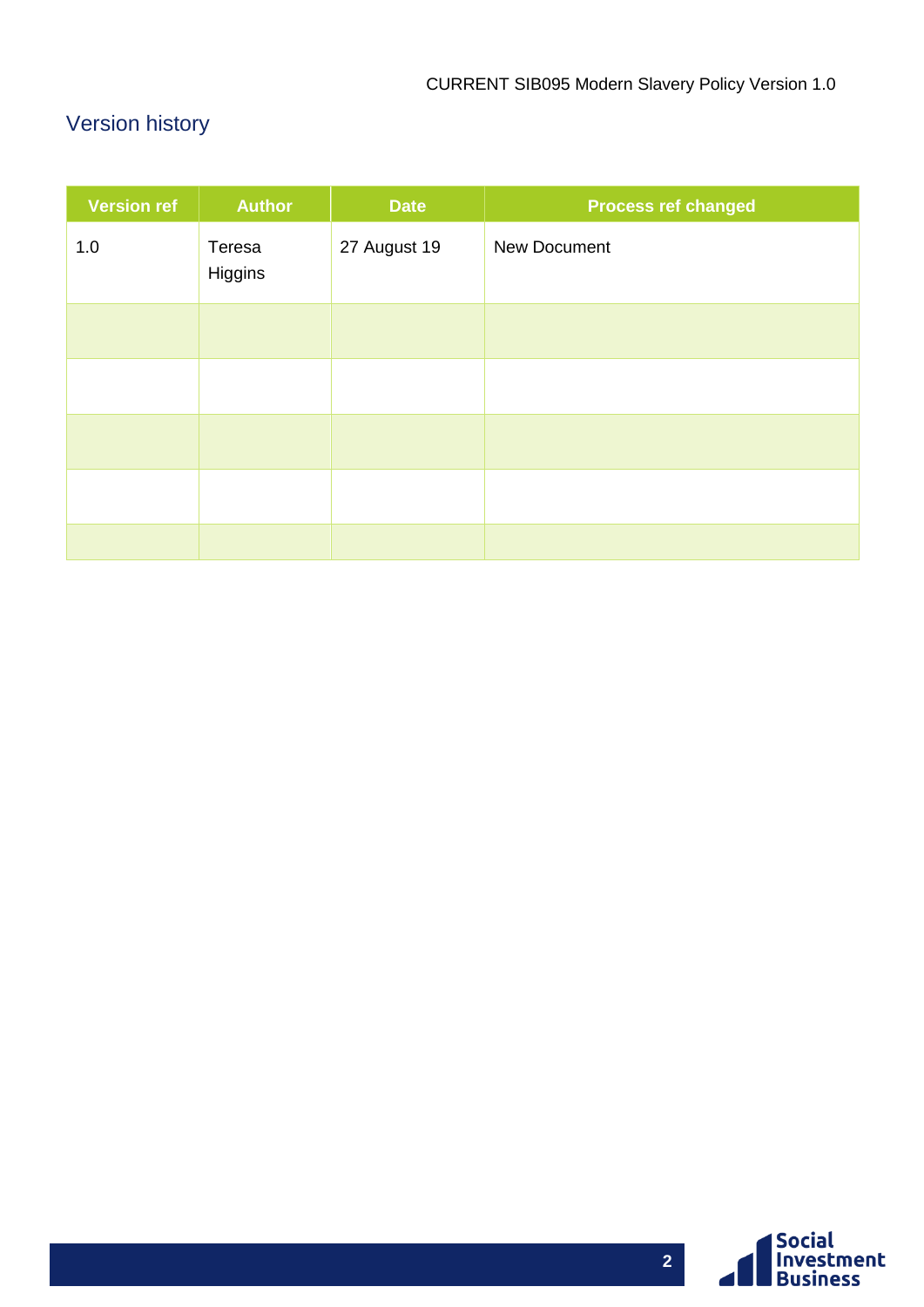# <span id="page-2-0"></span>Version history

| <b>Version ref</b> | <b>Author</b>     | <b>Date</b>  | <b>Process ref changed</b> |
|--------------------|-------------------|--------------|----------------------------|
| 1.0                | Teresa<br>Higgins | 27 August 19 | New Document               |
|                    |                   |              |                            |
|                    |                   |              |                            |
|                    |                   |              |                            |
|                    |                   |              |                            |
|                    |                   |              |                            |

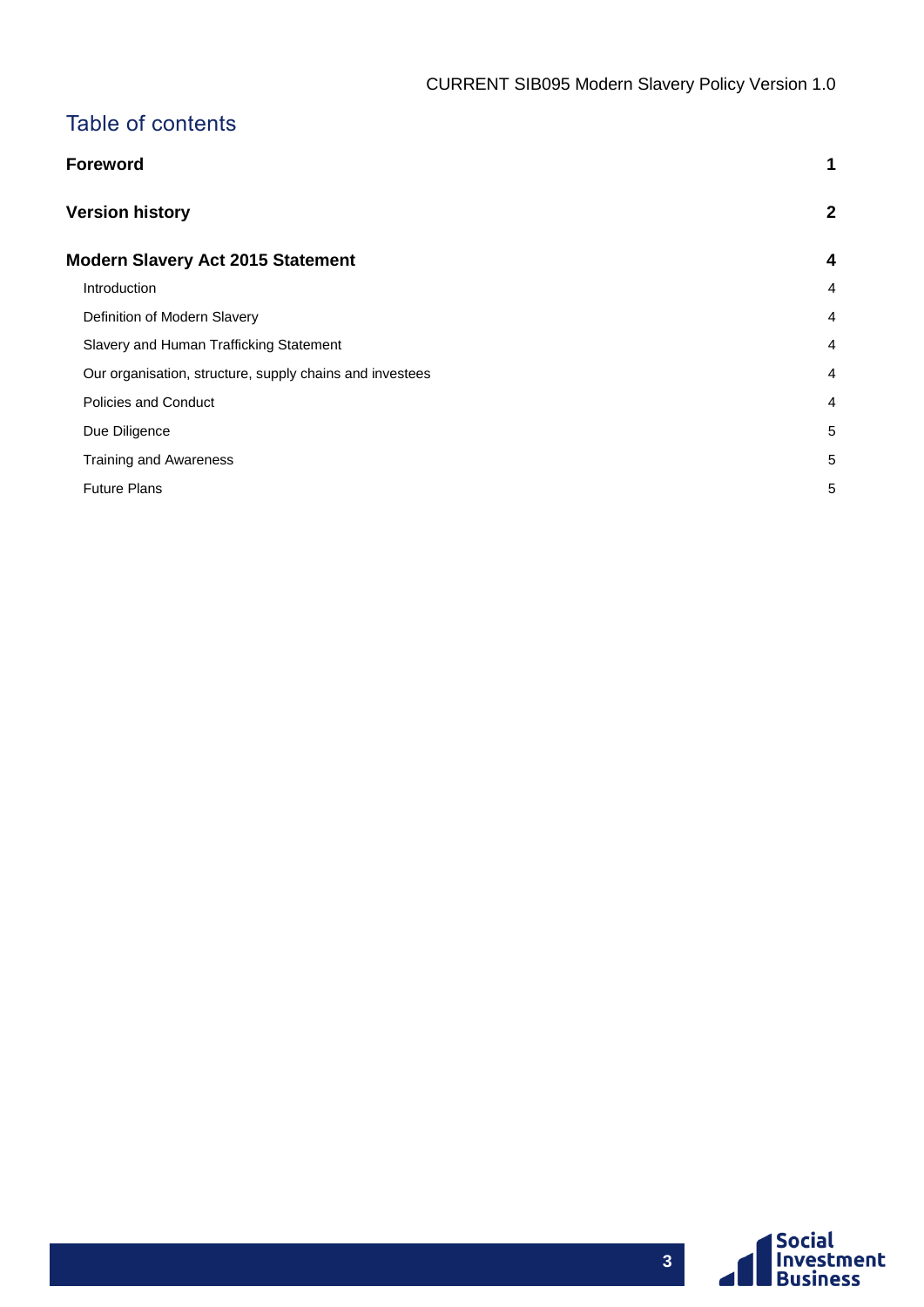## Table of contents

| Foreword                                                 | 1                |
|----------------------------------------------------------|------------------|
| <b>Version history</b>                                   | $\boldsymbol{2}$ |
| Modern Slavery Act 2015 Statement                        | 4                |
| Introduction                                             | $\overline{4}$   |
| Definition of Modern Slavery                             | $\overline{4}$   |
| Slavery and Human Trafficking Statement                  | $\overline{4}$   |
| Our organisation, structure, supply chains and investees | $\overline{4}$   |
| <b>Policies and Conduct</b>                              | $\overline{4}$   |
| Due Diligence                                            | 5                |
| <b>Training and Awareness</b>                            | 5                |
| <b>Future Plans</b>                                      | 5                |

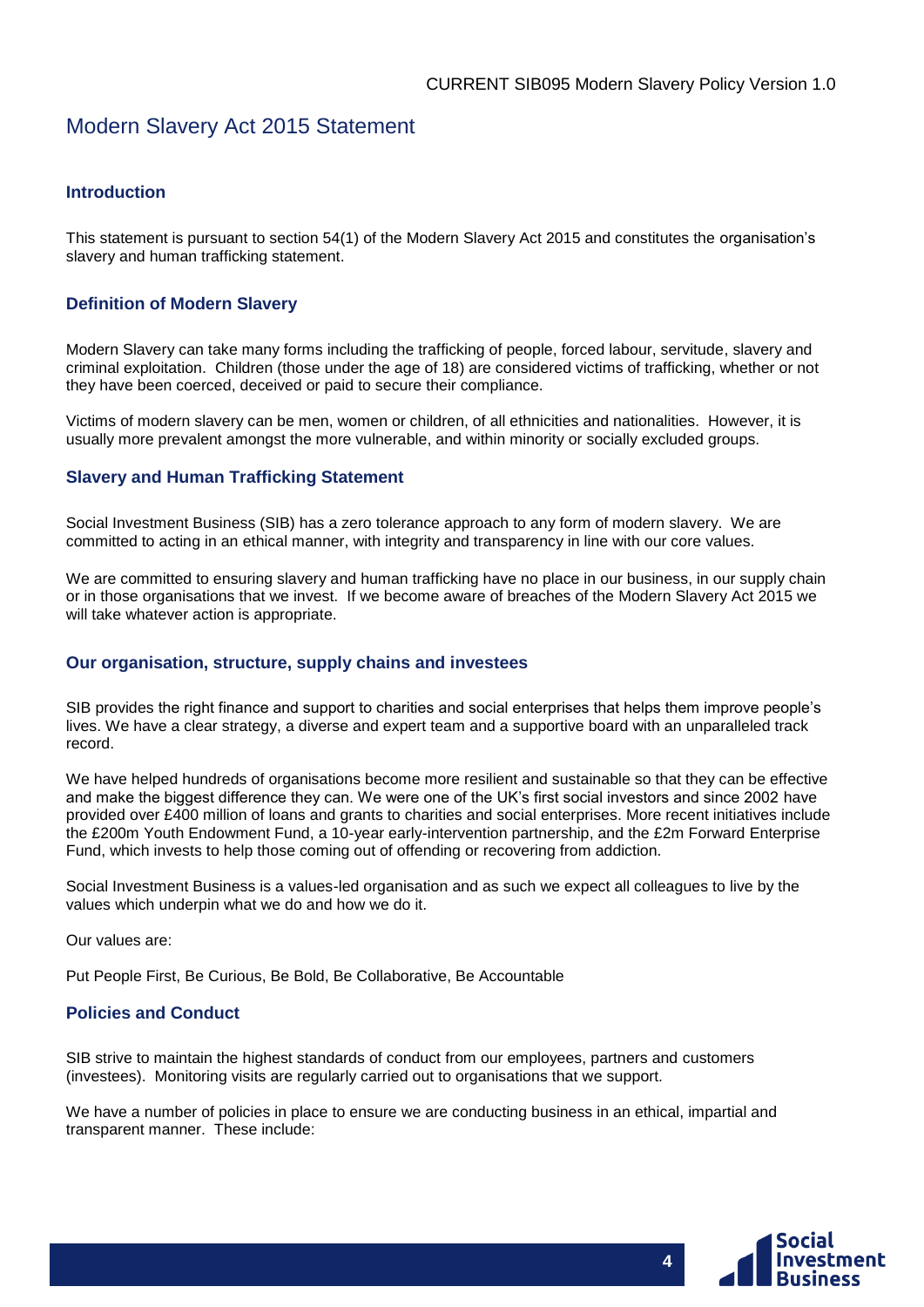### <span id="page-4-0"></span>Modern Slavery Act 2015 Statement

#### <span id="page-4-1"></span>**Introduction**

This statement is pursuant to section 54(1) of the Modern Slavery Act 2015 and constitutes the organisation's slavery and human trafficking statement.

#### <span id="page-4-2"></span>**Definition of Modern Slavery**

Modern Slavery can take many forms including the trafficking of people, forced labour, servitude, slavery and criminal exploitation. Children (those under the age of 18) are considered victims of trafficking, whether or not they have been coerced, deceived or paid to secure their compliance.

Victims of modern slavery can be men, women or children, of all ethnicities and nationalities. However, it is usually more prevalent amongst the more vulnerable, and within minority or socially excluded groups.

#### <span id="page-4-3"></span>**Slavery and Human Trafficking Statement**

Social Investment Business (SIB) has a zero tolerance approach to any form of modern slavery. We are committed to acting in an ethical manner, with integrity and transparency in line with our core values.

We are committed to ensuring slavery and human trafficking have no place in our business, in our supply chain or in those organisations that we invest. If we become aware of breaches of the Modern Slavery Act 2015 we will take whatever action is appropriate.

#### <span id="page-4-4"></span>**Our organisation, structure, supply chains and investees**

SIB provides the right finance and support to charities and social enterprises that helps them improve people's lives. We have a clear strategy, a diverse and expert team and a supportive board with an unparalleled track record.

We have helped hundreds of organisations become more resilient and sustainable so that they can be effective and make the biggest difference they can. We were one of the UK's first social investors and since 2002 have provided over £400 million of loans and grants to charities and social enterprises. More recent initiatives include the £200m Youth Endowment Fund, a 10-year early-intervention partnership, and the £2m Forward Enterprise Fund, which invests to help those coming out of offending or recovering from addiction.

Social Investment Business is a values-led organisation and as such we expect all colleagues to live by the values which underpin what we do and how we do it.

Our values are:

Put People First, Be Curious, Be Bold, Be Collaborative, Be Accountable

#### <span id="page-4-5"></span>**Policies and Conduct**

SIB strive to maintain the highest standards of conduct from our employees, partners and customers (investees). Monitoring visits are regularly carried out to organisations that we support.

We have a number of policies in place to ensure we are conducting business in an ethical, impartial and transparent manner. These include:



**4**